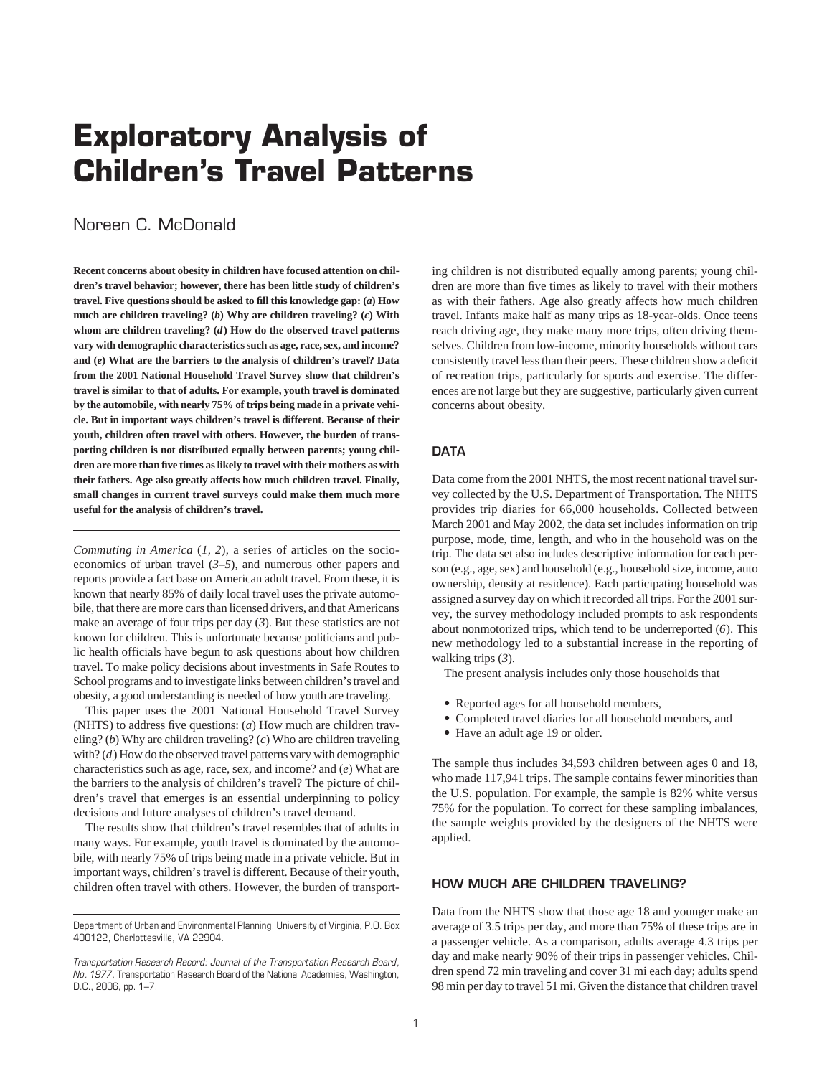# **Exploratory Analysis of Children's Travel Patterns**

# Noreen C. McDonald

**Recent concerns about obesity in children have focused attention on children's travel behavior; however, there has been little study of children's travel. Five questions should be asked to fill this knowledge gap: (***a***) How much are children traveling? (***b***) Why are children traveling? (***c***) With whom are children traveling? (***d***) How do the observed travel patterns vary with demographic characteristics such as age, race, sex, and income? and (***e***) What are the barriers to the analysis of children's travel? Data from the 2001 National Household Travel Survey show that children's travel is similar to that of adults. For example, youth travel is dominated by the automobile, with nearly 75% of trips being made in a private vehicle. But in important ways children's travel is different. Because of their youth, children often travel with others. However, the burden of transporting children is not distributed equally between parents; young children are more than five times as likely to travel with their mothers as with their fathers. Age also greatly affects how much children travel. Finally, small changes in current travel surveys could make them much more useful for the analysis of children's travel.**

*Commuting in America* (*1, 2*), a series of articles on the socioeconomics of urban travel (*3–5*), and numerous other papers and reports provide a fact base on American adult travel. From these, it is known that nearly 85% of daily local travel uses the private automobile, that there are more cars than licensed drivers, and that Americans make an average of four trips per day (*3*). But these statistics are not known for children. This is unfortunate because politicians and public health officials have begun to ask questions about how children travel. To make policy decisions about investments in Safe Routes to School programs and to investigate links between children's travel and obesity, a good understanding is needed of how youth are traveling.

This paper uses the 2001 National Household Travel Survey (NHTS) to address five questions: (*a*) How much are children traveling? (*b*) Why are children traveling? (*c*) Who are children traveling with? (*d*) How do the observed travel patterns vary with demographic characteristics such as age, race, sex, and income? and (*e*) What are the barriers to the analysis of children's travel? The picture of children's travel that emerges is an essential underpinning to policy decisions and future analyses of children's travel demand.

The results show that children's travel resembles that of adults in many ways. For example, youth travel is dominated by the automobile, with nearly 75% of trips being made in a private vehicle. But in important ways, children's travel is different. Because of their youth, children often travel with others. However, the burden of transport-

ing children is not distributed equally among parents; young children are more than five times as likely to travel with their mothers as with their fathers. Age also greatly affects how much children travel. Infants make half as many trips as 18-year-olds. Once teens reach driving age, they make many more trips, often driving themselves. Children from low-income, minority households without cars consistently travel less than their peers. These children show a deficit of recreation trips, particularly for sports and exercise. The differences are not large but they are suggestive, particularly given current concerns about obesity.

# **DATA**

Data come from the 2001 NHTS, the most recent national travel survey collected by the U.S. Department of Transportation. The NHTS provides trip diaries for 66,000 households. Collected between March 2001 and May 2002, the data set includes information on trip purpose, mode, time, length, and who in the household was on the trip. The data set also includes descriptive information for each person (e.g., age, sex) and household (e.g., household size, income, auto ownership, density at residence). Each participating household was assigned a survey day on which it recorded all trips. For the 2001 survey, the survey methodology included prompts to ask respondents about nonmotorized trips, which tend to be underreported (*6*). This new methodology led to a substantial increase in the reporting of walking trips (*3*).

The present analysis includes only those households that

- Reported ages for all household members,
- Completed travel diaries for all household members, and
- Have an adult age 19 or older.

The sample thus includes 34,593 children between ages 0 and 18, who made 117,941 trips. The sample contains fewer minorities than the U.S. population. For example, the sample is 82% white versus 75% for the population. To correct for these sampling imbalances, the sample weights provided by the designers of the NHTS were applied.

# **HOW MUCH ARE CHILDREN TRAVELING?**

Data from the NHTS show that those age 18 and younger make an average of 3.5 trips per day, and more than 75% of these trips are in a passenger vehicle. As a comparison, adults average 4.3 trips per day and make nearly 90% of their trips in passenger vehicles. Children spend 72 min traveling and cover 31 mi each day; adults spend 98 min per day to travel 51 mi. Given the distance that children travel

Department of Urban and Environmental Planning, University of Virginia, P.O. Box 400122, Charlottesville, VA 22904.

*Transportation Research Record: Journal of the Transportation Research Board, No. 1977,* Transportation Research Board of the National Academies, Washington, D.C., 2006, pp. 1–7.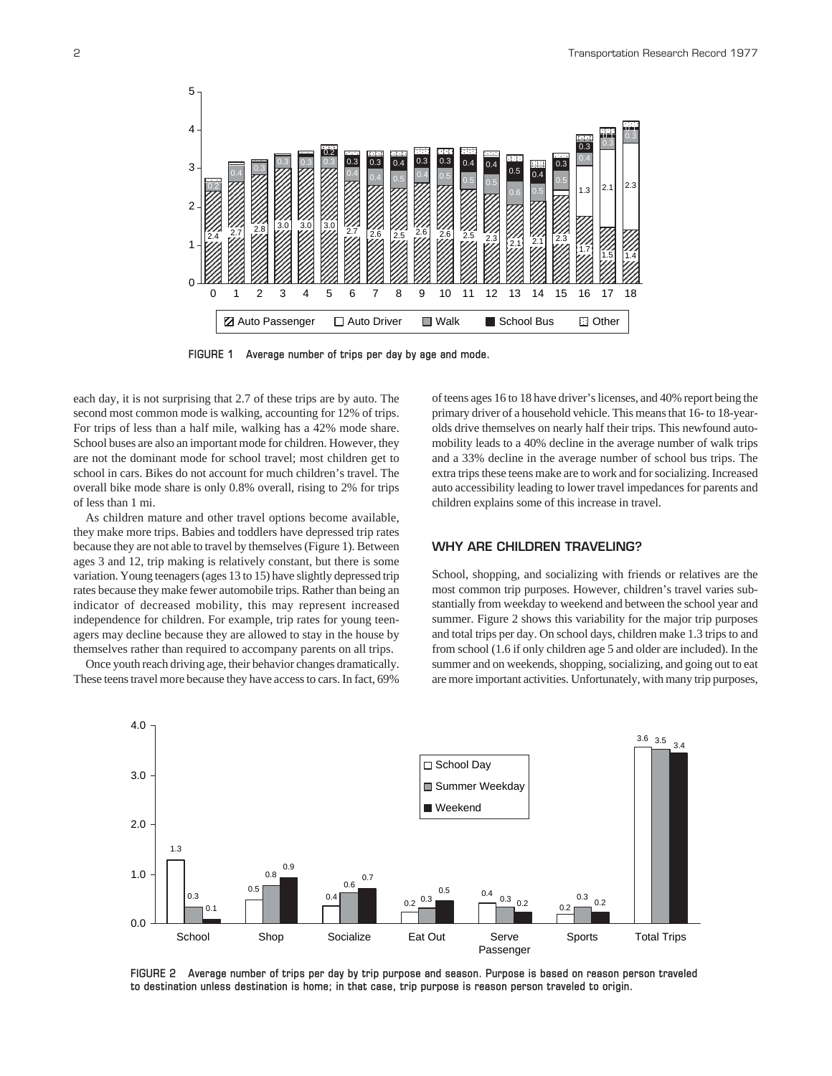

**FIGURE 1 Average number of trips per day by age and mode.**

each day, it is not surprising that 2.7 of these trips are by auto. The second most common mode is walking, accounting for 12% of trips. For trips of less than a half mile, walking has a 42% mode share. School buses are also an important mode for children. However, they are not the dominant mode for school travel; most children get to school in cars. Bikes do not account for much children's travel. The overall bike mode share is only 0.8% overall, rising to 2% for trips of less than 1 mi.

As children mature and other travel options become available, they make more trips. Babies and toddlers have depressed trip rates because they are not able to travel by themselves (Figure 1). Between ages 3 and 12, trip making is relatively constant, but there is some variation. Young teenagers (ages 13 to 15) have slightly depressed trip rates because they make fewer automobile trips. Rather than being an indicator of decreased mobility, this may represent increased independence for children. For example, trip rates for young teenagers may decline because they are allowed to stay in the house by themselves rather than required to accompany parents on all trips.

Once youth reach driving age, their behavior changes dramatically. These teens travel more because they have access to cars. In fact, 69% of teens ages 16 to 18 have driver's licenses, and 40% report being the primary driver of a household vehicle. This means that 16- to 18-yearolds drive themselves on nearly half their trips. This newfound automobility leads to a 40% decline in the average number of walk trips and a 33% decline in the average number of school bus trips. The extra trips these teens make are to work and for socializing. Increased auto accessibility leading to lower travel impedances for parents and children explains some of this increase in travel.

# **WHY ARE CHILDREN TRAVELING?**

School, shopping, and socializing with friends or relatives are the most common trip purposes. However, children's travel varies substantially from weekday to weekend and between the school year and summer. Figure 2 shows this variability for the major trip purposes and total trips per day. On school days, children make 1.3 trips to and from school (1.6 if only children age 5 and older are included). In the summer and on weekends, shopping, socializing, and going out to eat are more important activities. Unfortunately, with many trip purposes,



**FIGURE 2 Average number of trips per day by trip purpose and season. Purpose is based on reason person traveled to destination unless destination is home; in that case, trip purpose is reason person traveled to origin.**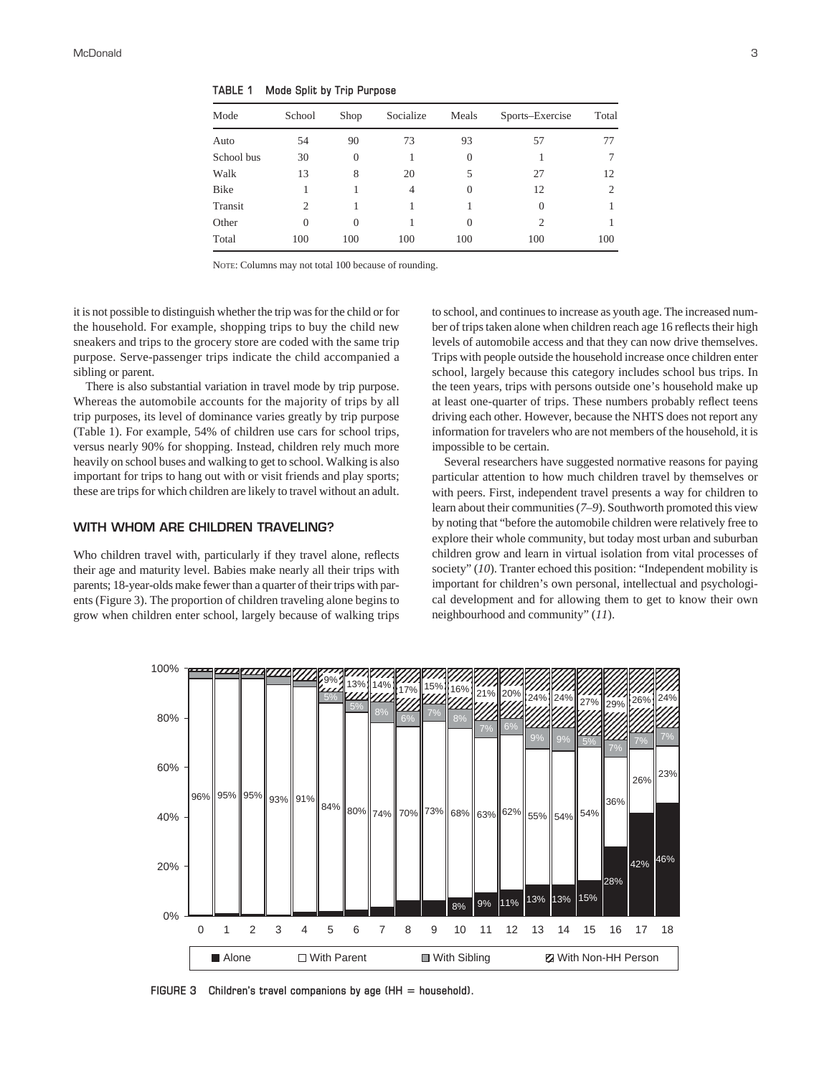| Mode       | School   | Shop     | Socialize | Meals    | Sports–Exercise | Total |
|------------|----------|----------|-----------|----------|-----------------|-------|
| Auto       | 54       | 90       | 73        | 93       | 57              | 77    |
| School bus | 30       | $\theta$ |           | $\Omega$ |                 | 7     |
| Walk       | 13       | 8        | 20        | 5        | 27              | 12    |
| Bike       |          |          | 4         | $\Omega$ | 12              | 2     |
| Transit    | 2        |          |           |          | $\Omega$        |       |
| Other      | $\theta$ | $\theta$ |           | $\Omega$ | 2               |       |
| Total      | 100      | 100      | 100       | 100      | 100             | 100   |

**TABLE 1 Mode Split by Trip Purpose**

NOTE: Columns may not total 100 because of rounding.

it is not possible to distinguish whether the trip was for the child or for the household. For example, shopping trips to buy the child new sneakers and trips to the grocery store are coded with the same trip purpose. Serve-passenger trips indicate the child accompanied a sibling or parent.

There is also substantial variation in travel mode by trip purpose. Whereas the automobile accounts for the majority of trips by all trip purposes, its level of dominance varies greatly by trip purpose (Table 1). For example, 54% of children use cars for school trips, versus nearly 90% for shopping. Instead, children rely much more heavily on school buses and walking to get to school. Walking is also important for trips to hang out with or visit friends and play sports; these are trips for which children are likely to travel without an adult.

#### **WITH WHOM ARE CHILDREN TRAVELING?**

Who children travel with, particularly if they travel alone, reflects their age and maturity level. Babies make nearly all their trips with parents; 18-year-olds make fewer than a quarter of their trips with parents (Figure 3). The proportion of children traveling alone begins to grow when children enter school, largely because of walking trips to school, and continues to increase as youth age. The increased number of trips taken alone when children reach age 16 reflects their high levels of automobile access and that they can now drive themselves. Trips with people outside the household increase once children enter school, largely because this category includes school bus trips. In the teen years, trips with persons outside one's household make up at least one-quarter of trips. These numbers probably reflect teens driving each other. However, because the NHTS does not report any information for travelers who are not members of the household, it is impossible to be certain.

Several researchers have suggested normative reasons for paying particular attention to how much children travel by themselves or with peers. First, independent travel presents a way for children to learn about their communities (*7–9*). Southworth promoted this view by noting that "before the automobile children were relatively free to explore their whole community, but today most urban and suburban children grow and learn in virtual isolation from vital processes of society" (*10*). Tranter echoed this position: "Independent mobility is important for children's own personal, intellectual and psychological development and for allowing them to get to know their own neighbourhood and community" (*11*).



FIGURE 3 Children's travel companions by age (HH = household).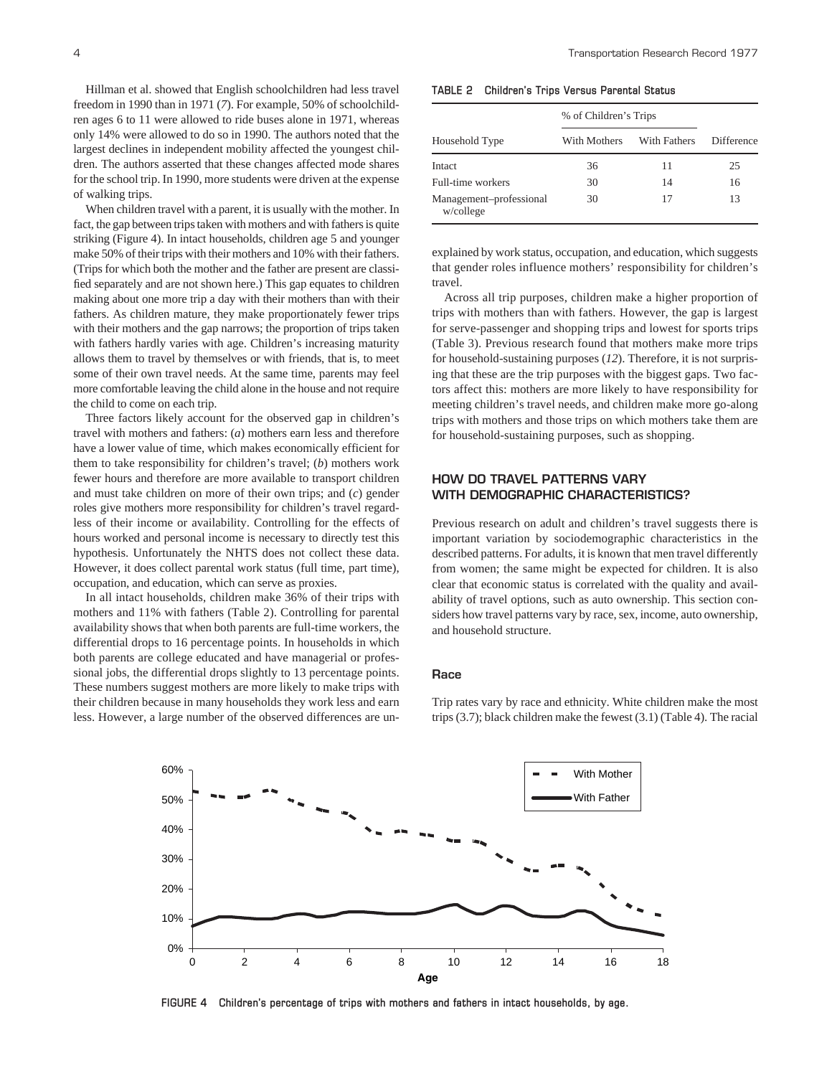Hillman et al. showed that English schoolchildren had less travel freedom in 1990 than in 1971 (*7*). For example, 50% of schoolchildren ages 6 to 11 were allowed to ride buses alone in 1971, whereas only 14% were allowed to do so in 1990. The authors noted that the largest declines in independent mobility affected the youngest children. The authors asserted that these changes affected mode shares for the school trip. In 1990, more students were driven at the expense of walking trips.

When children travel with a parent, it is usually with the mother. In fact, the gap between trips taken with mothers and with fathers is quite striking (Figure 4). In intact households, children age 5 and younger make 50% of their trips with their mothers and 10% with their fathers. (Trips for which both the mother and the father are present are classified separately and are not shown here.) This gap equates to children making about one more trip a day with their mothers than with their fathers. As children mature, they make proportionately fewer trips with their mothers and the gap narrows; the proportion of trips taken with fathers hardly varies with age. Children's increasing maturity allows them to travel by themselves or with friends, that is, to meet some of their own travel needs. At the same time, parents may feel more comfortable leaving the child alone in the house and not require the child to come on each trip.

Three factors likely account for the observed gap in children's travel with mothers and fathers: (*a*) mothers earn less and therefore have a lower value of time, which makes economically efficient for them to take responsibility for children's travel; (*b*) mothers work fewer hours and therefore are more available to transport children and must take children on more of their own trips; and (*c*) gender roles give mothers more responsibility for children's travel regardless of their income or availability. Controlling for the effects of hours worked and personal income is necessary to directly test this hypothesis. Unfortunately the NHTS does not collect these data. However, it does collect parental work status (full time, part time), occupation, and education, which can serve as proxies.

In all intact households, children make 36% of their trips with mothers and 11% with fathers (Table 2). Controlling for parental availability shows that when both parents are full-time workers, the differential drops to 16 percentage points. In households in which both parents are college educated and have managerial or professional jobs, the differential drops slightly to 13 percentage points. These numbers suggest mothers are more likely to make trips with their children because in many households they work less and earn less. However, a large number of the observed differences are un-

**TABLE 2 Children's Trips Versus Parental Status**

|                                      | % of Children's Trips |              |            |  |
|--------------------------------------|-----------------------|--------------|------------|--|
| Household Type                       | With Mothers          | With Fathers | Difference |  |
| Intact                               | 36                    | 11           | 25         |  |
| Full-time workers                    | 30                    | 14           | 16         |  |
| Management-professional<br>w/college | 30                    | 17           | 13         |  |

explained by work status, occupation, and education, which suggests that gender roles influence mothers' responsibility for children's travel.

Across all trip purposes, children make a higher proportion of trips with mothers than with fathers. However, the gap is largest for serve-passenger and shopping trips and lowest for sports trips (Table 3). Previous research found that mothers make more trips for household-sustaining purposes (*12*). Therefore, it is not surprising that these are the trip purposes with the biggest gaps. Two factors affect this: mothers are more likely to have responsibility for meeting children's travel needs, and children make more go-along trips with mothers and those trips on which mothers take them are for household-sustaining purposes, such as shopping.

# **HOW DO TRAVEL PATTERNS VARY WITH DEMOGRAPHIC CHARACTERISTICS?**

Previous research on adult and children's travel suggests there is important variation by sociodemographic characteristics in the described patterns. For adults, it is known that men travel differently from women; the same might be expected for children. It is also clear that economic status is correlated with the quality and availability of travel options, such as auto ownership. This section considers how travel patterns vary by race, sex, income, auto ownership, and household structure.

#### **Race**

0% 10% 20% 30% 40% 50% 60% 0 2 4 6 8 10 12 14 16 18 **Age** With Mother With Father

Trip rates vary by race and ethnicity. White children make the most trips (3.7); black children make the fewest (3.1) (Table 4). The racial

**FIGURE 4 Children's percentage of trips with mothers and fathers in intact households, by age.**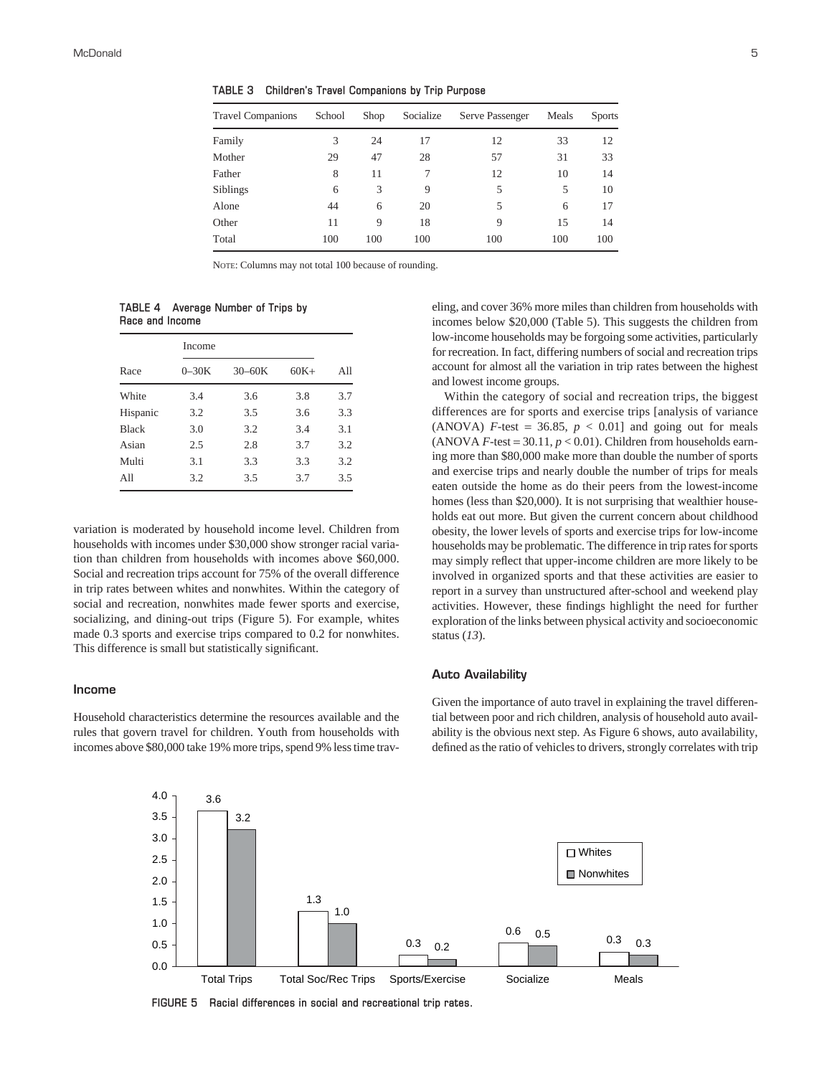**TABLE 3 Children's Travel Companions by Trip Purpose**

| <b>Travel Companions</b> | School | Shop | Socialize | Serve Passenger | Meals | <b>Sports</b> |
|--------------------------|--------|------|-----------|-----------------|-------|---------------|
| Family                   | 3      | 24   | 17        | 12              | 33    | 12            |
| Mother                   | 29     | 47   | 28        | 57              | 31    | 33            |
| Father                   | 8      | 11   | 7         | 12              | 10    | 14            |
| Siblings                 | 6      | 3    | 9         | 5               | 5     | 10            |
| Alone                    | 44     | 6    | 20        | 5               | 6     | 17            |
| Other                    | 11     | 9    | 18        | 9               | 15    | 14            |
| Total                    | 100    | 100  | 100       | 100             | 100   | 100           |

NOTE: Columns may not total 100 because of rounding.

**TABLE 4 Average Number of Trips by Race and Income**

|              | Income  |            |        |     |
|--------------|---------|------------|--------|-----|
| Race         | $0-30K$ | $30 - 60K$ | $60K+$ | All |
| White        | 3.4     | 3.6        | 3.8    | 3.7 |
| Hispanic     | 3.2     | 3.5        | 3.6    | 3.3 |
| <b>Black</b> | 3.0     | 3.2        | 3.4    | 3.1 |
| Asian        | 2.5     | 2.8        | 3.7    | 3.2 |
| Multi        | 3.1     | 3.3        | 3.3    | 3.2 |
| All          | 3.2     | 3.5        | 3.7    | 3.5 |

variation is moderated by household income level. Children from households with incomes under \$30,000 show stronger racial variation than children from households with incomes above \$60,000. Social and recreation trips account for 75% of the overall difference in trip rates between whites and nonwhites. Within the category of social and recreation, nonwhites made fewer sports and exercise, socializing, and dining-out trips (Figure 5). For example, whites made 0.3 sports and exercise trips compared to 0.2 for nonwhites. This difference is small but statistically significant.

#### **Income**

Household characteristics determine the resources available and the rules that govern travel for children. Youth from households with incomes above \$80,000 take 19% more trips, spend 9% less time trav-

eling, and cover 36% more miles than children from households with incomes below \$20,000 (Table 5). This suggests the children from low-income households may be forgoing some activities, particularly for recreation. In fact, differing numbers of social and recreation trips account for almost all the variation in trip rates between the highest and lowest income groups.

Within the category of social and recreation trips, the biggest differences are for sports and exercise trips [analysis of variance (ANOVA)  $F$ -test = 36.85,  $p < 0.01$ ] and going out for meals (ANOVA  $F$ -test = 30.11,  $p < 0.01$ ). Children from households earning more than \$80,000 make more than double the number of sports and exercise trips and nearly double the number of trips for meals eaten outside the home as do their peers from the lowest-income homes (less than \$20,000). It is not surprising that wealthier households eat out more. But given the current concern about childhood obesity, the lower levels of sports and exercise trips for low-income households may be problematic. The difference in trip rates for sports may simply reflect that upper-income children are more likely to be involved in organized sports and that these activities are easier to report in a survey than unstructured after-school and weekend play activities. However, these findings highlight the need for further exploration of the links between physical activity and socioeconomic status (*13*).

#### **Auto Availability**

Given the importance of auto travel in explaining the travel differential between poor and rich children, analysis of household auto availability is the obvious next step. As Figure 6 shows, auto availability, defined as the ratio of vehicles to drivers, strongly correlates with trip



**FIGURE 5 Racial differences in social and recreational trip rates.**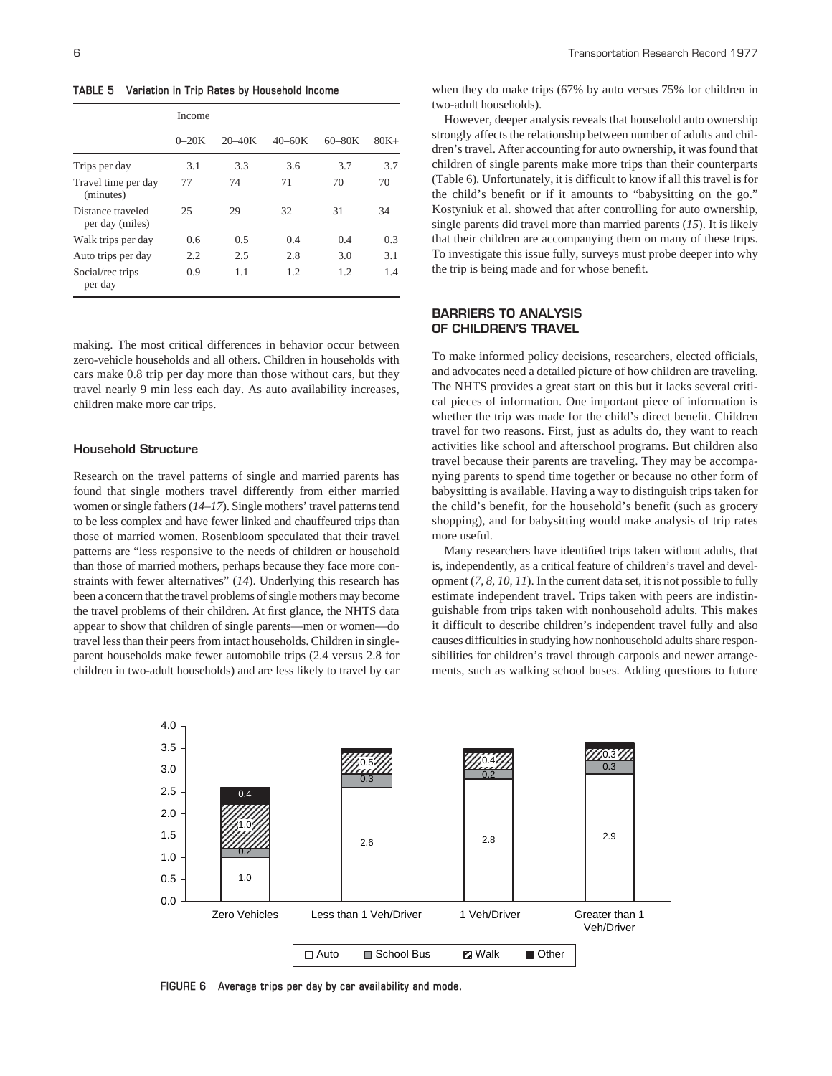**TABLE 5 Variation in Trip Rates by Household Income**

|                                      | Income  |            |            |            |         |
|--------------------------------------|---------|------------|------------|------------|---------|
|                                      | $0-20K$ | $20 - 40K$ | $40 - 60K$ | $60 - 80K$ | $80K +$ |
| Trips per day                        | 3.1     | 3.3        | 3.6        | 3.7        | 3.7     |
| Travel time per day<br>(minutes)     | 77      | 74         | 71         | 70         | 70      |
| Distance traveled<br>per day (miles) | 25      | 29         | 32         | 31         | 34      |
| Walk trips per day                   | 0.6     | 0.5        | 0.4        | 0.4        | 0.3     |
| Auto trips per day                   | 2.2     | 2.5        | 2.8        | 3.0        | 3.1     |
| Social/rec trips<br>per day          | 0.9     | 1.1        | 1.2.       | 1.2.       | 14      |

making. The most critical differences in behavior occur between zero-vehicle households and all others. Children in households with cars make 0.8 trip per day more than those without cars, but they travel nearly 9 min less each day. As auto availability increases, children make more car trips.

#### **Household Structure**

Research on the travel patterns of single and married parents has found that single mothers travel differently from either married women or single fathers (*14–17*). Single mothers' travel patterns tend to be less complex and have fewer linked and chauffeured trips than those of married women. Rosenbloom speculated that their travel patterns are "less responsive to the needs of children or household than those of married mothers, perhaps because they face more constraints with fewer alternatives" (*14*). Underlying this research has been a concern that the travel problems of single mothers may become the travel problems of their children. At first glance, the NHTS data appear to show that children of single parents—men or women—do travel less than their peers from intact households. Children in singleparent households make fewer automobile trips (2.4 versus 2.8 for children in two-adult households) and are less likely to travel by car when they do make trips (67% by auto versus 75% for children in two-adult households).

However, deeper analysis reveals that household auto ownership strongly affects the relationship between number of adults and children's travel. After accounting for auto ownership, it was found that children of single parents make more trips than their counterparts (Table 6). Unfortunately, it is difficult to know if all this travel is for the child's benefit or if it amounts to "babysitting on the go." Kostyniuk et al. showed that after controlling for auto ownership, single parents did travel more than married parents (*15*). It is likely that their children are accompanying them on many of these trips. To investigate this issue fully, surveys must probe deeper into why the trip is being made and for whose benefit.

# **BARRIERS TO ANALYSIS OF CHILDREN'S TRAVEL**

To make informed policy decisions, researchers, elected officials, and advocates need a detailed picture of how children are traveling. The NHTS provides a great start on this but it lacks several critical pieces of information. One important piece of information is whether the trip was made for the child's direct benefit. Children travel for two reasons. First, just as adults do, they want to reach activities like school and afterschool programs. But children also travel because their parents are traveling. They may be accompanying parents to spend time together or because no other form of babysitting is available. Having a way to distinguish trips taken for the child's benefit, for the household's benefit (such as grocery shopping), and for babysitting would make analysis of trip rates more useful.

Many researchers have identified trips taken without adults, that is, independently, as a critical feature of children's travel and development (*7, 8, 10, 11*). In the current data set, it is not possible to fully estimate independent travel. Trips taken with peers are indistinguishable from trips taken with nonhousehold adults. This makes it difficult to describe children's independent travel fully and also causes difficulties in studying how nonhousehold adults share responsibilities for children's travel through carpools and newer arrangements, such as walking school buses. Adding questions to future



**FIGURE 6 Average trips per day by car availability and mode.**